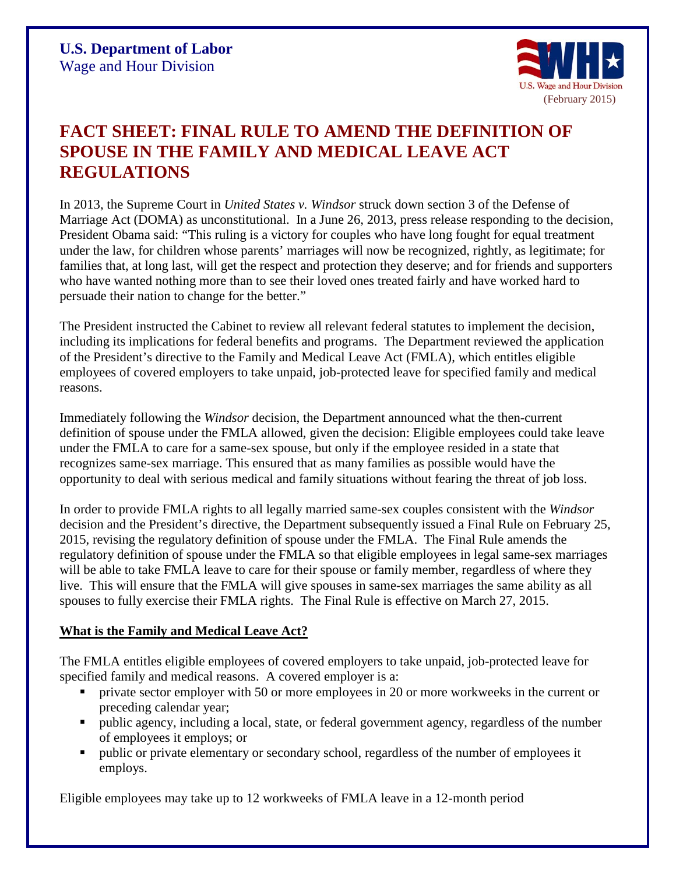

## **FACT SHEET: FINAL RULE TO AMEND THE DEFINITION OF SPOUSE IN THE FAMILY AND MEDICAL LEAVE ACT REGULATIONS**

In 2013, the Supreme Court in *United States v. Windsor* struck down section 3 of the Defense of Marriage Act (DOMA) as unconstitutional. In a June 26, 2013, press release responding to the decision, President Obama said: "This ruling is a victory for couples who have long fought for equal treatment under the law, for children whose parents' marriages will now be recognized, rightly, as legitimate; for families that, at long last, will get the respect and protection they deserve; and for friends and supporters who have wanted nothing more than to see their loved ones treated fairly and have worked hard to persuade their nation to change for the better."

The President instructed the Cabinet to review all relevant federal statutes to implement the decision, including its implications for federal benefits and programs. The Department reviewed the application of the President's directive to the Family and Medical Leave Act (FMLA), which entitles eligible employees of covered employers to take unpaid, job-protected leave for specified family and medical reasons.

Immediately following the *Windsor* decision, the Department announced what the then-current definition of spouse under the FMLA allowed, given the decision: Eligible employees could take leave under the FMLA to care for a same-sex spouse, but only if the employee resided in a state that recognizes same-sex marriage. This ensured that as many families as possible would have the opportunity to deal with serious medical and family situations without fearing the threat of job loss.

In order to provide FMLA rights to all legally married same-sex couples consistent with the *Windsor* decision and the President's directive, the Department subsequently issued a Final Rule on February 25, 2015, revising the regulatory definition of spouse under the FMLA. The Final Rule amends the regulatory definition of spouse under the FMLA so that eligible employees in legal same-sex marriages will be able to take FMLA leave to care for their spouse or family member, regardless of where they live. This will ensure that the FMLA will give spouses in same-sex marriages the same ability as all spouses to fully exercise their FMLA rights. The Final Rule is effective on March 27, 2015.

## **What is the Family and Medical Leave Act?**

The FMLA entitles eligible employees of covered employers to take unpaid, job-protected leave for specified family and medical reasons. A covered employer is a:

- private sector employer with 50 or more employees in 20 or more workweeks in the current or preceding calendar year;
- public agency, including a local, state, or federal government agency, regardless of the number of employees it employs; or
- public or private elementary or secondary school, regardless of the number of employees it employs.

Eligible employees may take up to 12 workweeks of FMLA leave in a 12-month period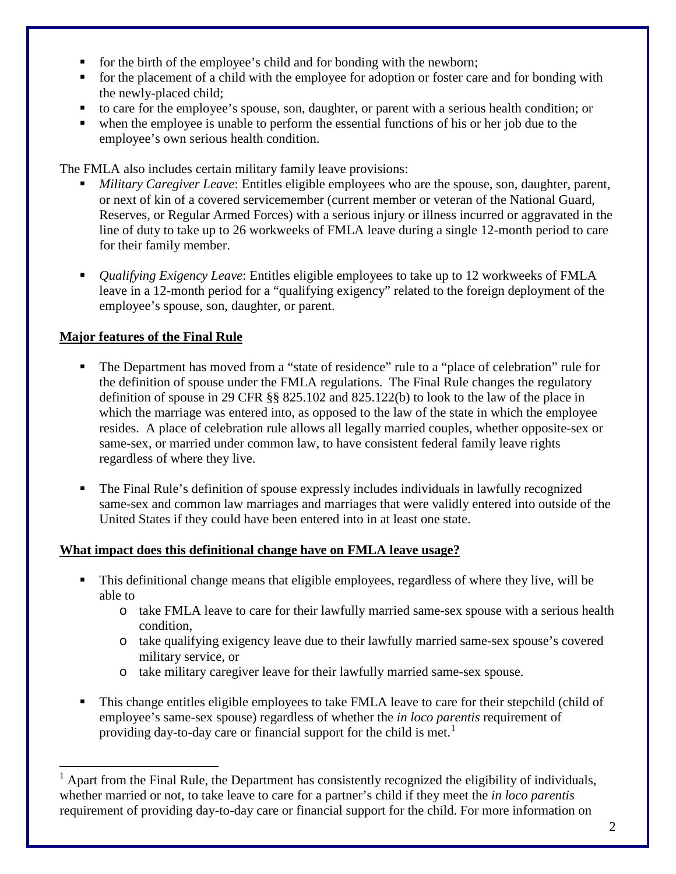- for the birth of the employee's child and for bonding with the newborn;
- for the placement of a child with the employee for adoption or foster care and for bonding with the newly-placed child;
- to care for the employee's spouse, son, daughter, or parent with a serious health condition; or
- when the employee is unable to perform the essential functions of his or her job due to the employee's own serious health condition.

The FMLA also includes certain military family leave provisions:

- *Military Caregiver Leave*: Entitles eligible employees who are the spouse, son, daughter, parent, or next of kin of a covered servicemember (current member or veteran of the National Guard, Reserves, or Regular Armed Forces) with a serious injury or illness incurred or aggravated in the line of duty to take up to 26 workweeks of FMLA leave during a single 12-month period to care for their family member.
- *Qualifying Exigency Leave*: Entitles eligible employees to take up to 12 workweeks of FMLA leave in a 12-month period for a "qualifying exigency" related to the foreign deployment of the employee's spouse, son, daughter, or parent.

## **Major features of the Final Rule**

- The Department has moved from a "state of residence" rule to a "place of celebration" rule for the definition of spouse under the FMLA regulations. The Final Rule changes the regulatory definition of spouse in 29 CFR §§ 825.102 and 825.122(b) to look to the law of the place in which the marriage was entered into, as opposed to the law of the state in which the employee resides. A place of celebration rule allows all legally married couples, whether opposite-sex or same-sex, or married under common law, to have consistent federal family leave rights regardless of where they live.
- The Final Rule's definition of spouse expressly includes individuals in lawfully recognized same-sex and common law marriages and marriages that were validly entered into outside of the United States if they could have been entered into in at least one state.

## **What impact does this definitional change have on FMLA leave usage?**

- This definitional change means that eligible employees, regardless of where they live, will be able to
	- o take FMLA leave to care for their lawfully married same-sex spouse with a serious health condition,
	- o take qualifying exigency leave due to their lawfully married same-sex spouse's covered military service, or
	- o take military caregiver leave for their lawfully married same-sex spouse.
- This change entitles eligible employees to take FMLA leave to care for their stepchild (child of employee's same-sex spouse) regardless of whether the *in loco parentis* requirement of providing day-to-day care or financial support for the child is met.<sup>[1](#page-1-0)</sup>

<span id="page-1-0"></span> <sup>1</sup> Apart from the Final Rule, the Department has consistently recognized the eligibility of individuals, whether married or not, to take leave to care for a partner's child if they meet the *in loco parentis* requirement of providing day-to-day care or financial support for the child. For more information on